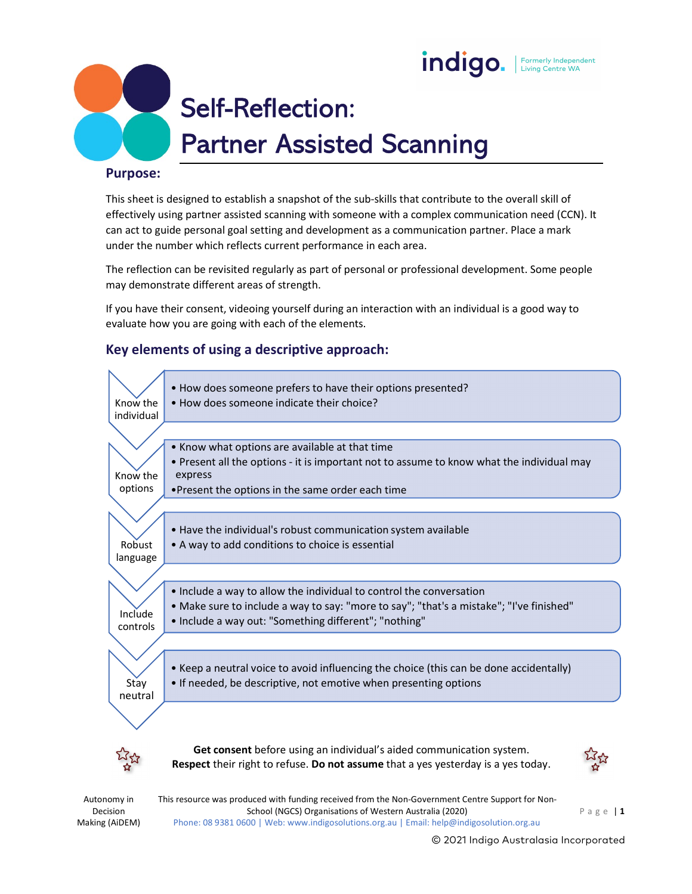



# Self-Reflection: Partner Assisted Scanning

#### Purpose:

This sheet is designed to establish a snapshot of the sub-skills that contribute to the overall skill of effectively using partner assisted scanning with someone with a complex communication need (CCN). It can act to guide personal goal setting and development as a communication partner. Place a mark under the number which reflects current performance in each area.

The reflection can be revisited regularly as part of personal or professional development. Some people may demonstrate different areas of strength.

If you have their consent, videoing yourself during an interaction with an individual is a good way to evaluate how you are going with each of the elements.

#### Key elements of using a descriptive approach:



Decision Making (AiDEM)

Autonomy in This resource was produced with funding received from the Non-Government Centre Support for Non-Phone: 08 9381 0600 | Web: www.indigosolutions.org.au | Email: help@indigosolution.org.au

© 2021 Indigo Australasia Incorporated